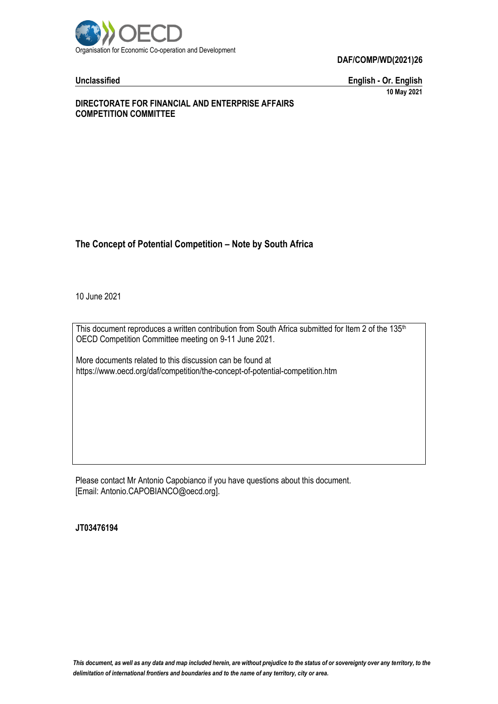

**DAF/COMP/WD(2021)26**

**Unclassified English - Or. English 10 May 2021**

### **DIRECTORATE FOR FINANCIAL AND ENTERPRISE AFFAIRS COMPETITION COMMITTEE**

# **The Concept of Potential Competition – Note by South Africa**

10 June 2021

This document reproduces a written contribution from South Africa submitted for Item 2 of the 135<sup>th</sup> OECD Competition Committee meeting on 9-11 June 2021.

More documents related to this discussion can be found at https://www.oecd.org/daf/competition/the-concept-of-potential-competition.htm

Please contact Mr Antonio Capobianco if you have questions about this document. [Email: Antonio.CAPOBIANCO@oecd.org].

**JT03476194**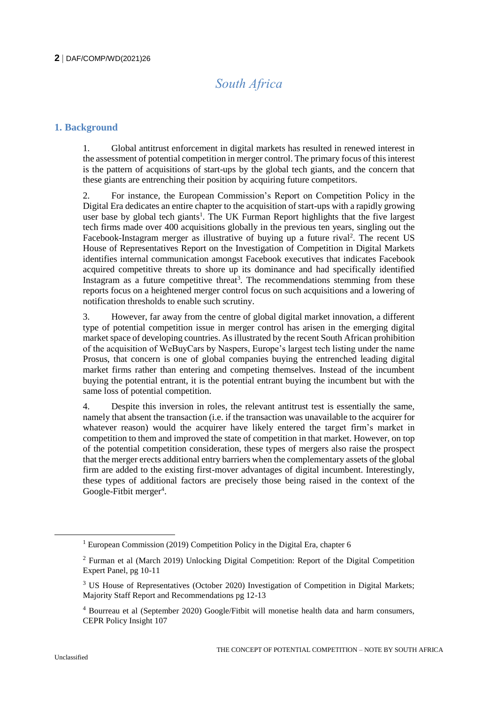# *South Africa*

# **1. Background**

1. Global antitrust enforcement in digital markets has resulted in renewed interest in the assessment of potential competition in merger control. The primary focus of this interest is the pattern of acquisitions of start-ups by the global tech giants, and the concern that these giants are entrenching their position by acquiring future competitors.

2. For instance, the European Commission's Report on Competition Policy in the Digital Era dedicates an entire chapter to the acquisition of start-ups with a rapidly growing user base by global tech giants<sup>1</sup>. The UK Furman Report highlights that the five largest tech firms made over 400 acquisitions globally in the previous ten years, singling out the Facebook-Instagram merger as illustrative of buying up a future rival<sup>2</sup>. The recent US House of Representatives Report on the Investigation of Competition in Digital Markets identifies internal communication amongst Facebook executives that indicates Facebook acquired competitive threats to shore up its dominance and had specifically identified Instagram as a future competitive threat<sup>3</sup>. The recommendations stemming from these reports focus on a heightened merger control focus on such acquisitions and a lowering of notification thresholds to enable such scrutiny.

3. However, far away from the centre of global digital market innovation, a different type of potential competition issue in merger control has arisen in the emerging digital market space of developing countries. As illustrated by the recent South African prohibition of the acquisition of WeBuyCars by Naspers, Europe's largest tech listing under the name Prosus, that concern is one of global companies buying the entrenched leading digital market firms rather than entering and competing themselves. Instead of the incumbent buying the potential entrant, it is the potential entrant buying the incumbent but with the same loss of potential competition.

4. Despite this inversion in roles, the relevant antitrust test is essentially the same, namely that absent the transaction (i.e. if the transaction was unavailable to the acquirer for whatever reason) would the acquirer have likely entered the target firm's market in competition to them and improved the state of competition in that market. However, on top of the potential competition consideration, these types of mergers also raise the prospect that the merger erects additional entry barriers when the complementary assets of the global firm are added to the existing first-mover advantages of digital incumbent. Interestingly, these types of additional factors are precisely those being raised in the context of the Google-Fitbit merger<sup>4</sup>.

 $\overline{a}$ 

<sup>&</sup>lt;sup>1</sup> European Commission (2019) Competition Policy in the Digital Era, chapter 6

<sup>2</sup> Furman et al (March 2019) Unlocking Digital Competition: Report of the Digital Competition Expert Panel, pg 10-11

<sup>&</sup>lt;sup>3</sup> US House of Representatives (October 2020) Investigation of Competition in Digital Markets; Majority Staff Report and Recommendations pg 12-13

<sup>4</sup> Bourreau et al (September 2020) Google/Fitbit will monetise health data and harm consumers, CEPR Policy Insight 107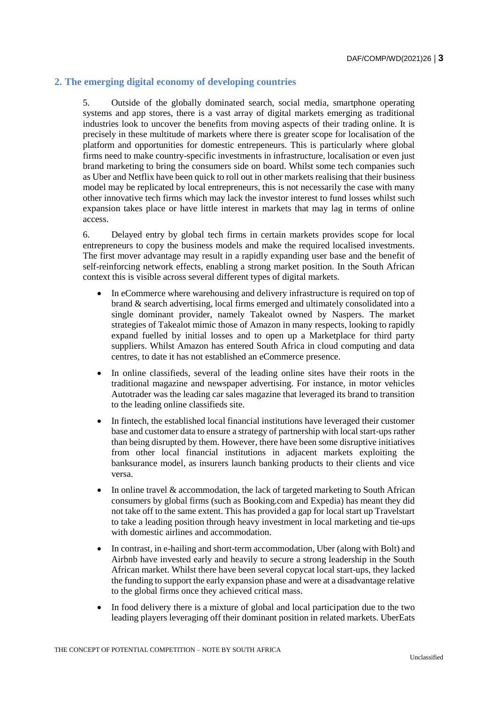# **2. The emerging digital economy of developing countries**

5. Outside of the globally dominated search, social media, smartphone operating systems and app stores, there is a vast array of digital markets emerging as traditional industries look to uncover the benefits from moving aspects of their trading online. It is precisely in these multitude of markets where there is greater scope for localisation of the platform and opportunities for domestic entrepeneurs. This is particularly where global firms need to make country-specific investments in infrastructure, localisation or even just brand marketing to bring the consumers side on board. Whilst some tech companies such as Uber and Netflix have been quick to roll out in other markets realising that their business model may be replicated by local entrepreneurs, this is not necessarily the case with many other innovative tech firms which may lack the investor interest to fund losses whilst such expansion takes place or have little interest in markets that may lag in terms of online access.

6. Delayed entry by global tech firms in certain markets provides scope for local entrepreneurs to copy the business models and make the required localised investments. The first mover advantage may result in a rapidly expanding user base and the benefit of self-reinforcing network effects, enabling a strong market position. In the South African context this is visible across several different types of digital markets.

- In eCommerce where warehousing and delivery infrastructure is required on top of brand & search advertising, local firms emerged and ultimately consolidated into a single dominant provider, namely Takealot owned by Naspers. The market strategies of Takealot mimic those of Amazon in many respects, looking to rapidly expand fuelled by initial losses and to open up a Marketplace for third party suppliers. Whilst Amazon has entered South Africa in cloud computing and data centres, to date it has not established an eCommerce presence.
- In online classifieds, several of the leading online sites have their roots in the traditional magazine and newspaper advertising. For instance, in motor vehicles Autotrader was the leading car sales magazine that leveraged its brand to transition to the leading online classifieds site.
- In fintech, the established local financial institutions have leveraged their customer base and customer data to ensure a strategy of partnership with local start-ups rather than being disrupted by them. However, there have been some disruptive initiatives from other local financial institutions in adjacent markets exploiting the banksurance model, as insurers launch banking products to their clients and vice versa.
- In online travel & accommodation, the lack of targeted marketing to South African consumers by global firms (such as Booking.com and Expedia) has meant they did not take off to the same extent. This has provided a gap for local start up Travelstart to take a leading position through heavy investment in local marketing and tie-ups with domestic airlines and accommodation.
- In contrast, in e-hailing and short-term accommodation, Uber (along with Bolt) and Airbnb have invested early and heavily to secure a strong leadership in the South African market. Whilst there have been several copycat local start-ups, they lacked the funding to support the early expansion phase and were at a disadvantage relative to the global firms once they achieved critical mass.
- In food delivery there is a mixture of global and local participation due to the two leading players leveraging off their dominant position in related markets. UberEats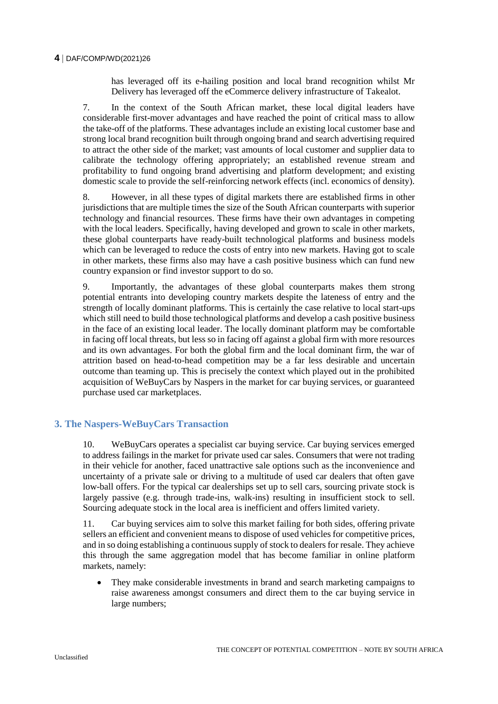### **4** DAF/COMP/WD(2021)26

has leveraged off its e-hailing position and local brand recognition whilst Mr Delivery has leveraged off the eCommerce delivery infrastructure of Takealot.

7. In the context of the South African market, these local digital leaders have considerable first-mover advantages and have reached the point of critical mass to allow the take-off of the platforms. These advantages include an existing local customer base and strong local brand recognition built through ongoing brand and search advertising required to attract the other side of the market; vast amounts of local customer and supplier data to calibrate the technology offering appropriately; an established revenue stream and profitability to fund ongoing brand advertising and platform development; and existing domestic scale to provide the self-reinforcing network effects (incl. economics of density).

8. However, in all these types of digital markets there are established firms in other jurisdictions that are multiple times the size of the South African counterparts with superior technology and financial resources. These firms have their own advantages in competing with the local leaders. Specifically, having developed and grown to scale in other markets, these global counterparts have ready-built technological platforms and business models which can be leveraged to reduce the costs of entry into new markets. Having got to scale in other markets, these firms also may have a cash positive business which can fund new country expansion or find investor support to do so.

9. Importantly, the advantages of these global counterparts makes them strong potential entrants into developing country markets despite the lateness of entry and the strength of locally dominant platforms. This is certainly the case relative to local start-ups which still need to build those technological platforms and develop a cash positive business in the face of an existing local leader. The locally dominant platform may be comfortable in facing off local threats, but less so in facing off against a global firm with more resources and its own advantages. For both the global firm and the local dominant firm, the war of attrition based on head-to-head competition may be a far less desirable and uncertain outcome than teaming up. This is precisely the context which played out in the prohibited acquisition of WeBuyCars by Naspers in the market for car buying services, or guaranteed purchase used car marketplaces.

# **3. The Naspers-WeBuyCars Transaction**

10. WeBuyCars operates a specialist car buying service. Car buying services emerged to address failings in the market for private used car sales. Consumers that were not trading in their vehicle for another, faced unattractive sale options such as the inconvenience and uncertainty of a private sale or driving to a multitude of used car dealers that often gave low-ball offers. For the typical car dealerships set up to sell cars, sourcing private stock is largely passive (e.g. through trade-ins, walk-ins) resulting in insufficient stock to sell. Sourcing adequate stock in the local area is inefficient and offers limited variety.

11. Car buying services aim to solve this market failing for both sides, offering private sellers an efficient and convenient means to dispose of used vehicles for competitive prices, and in so doing establishing a continuous supply of stock to dealers for resale. They achieve this through the same aggregation model that has become familiar in online platform markets, namely:

 They make considerable investments in brand and search marketing campaigns to raise awareness amongst consumers and direct them to the car buying service in large numbers;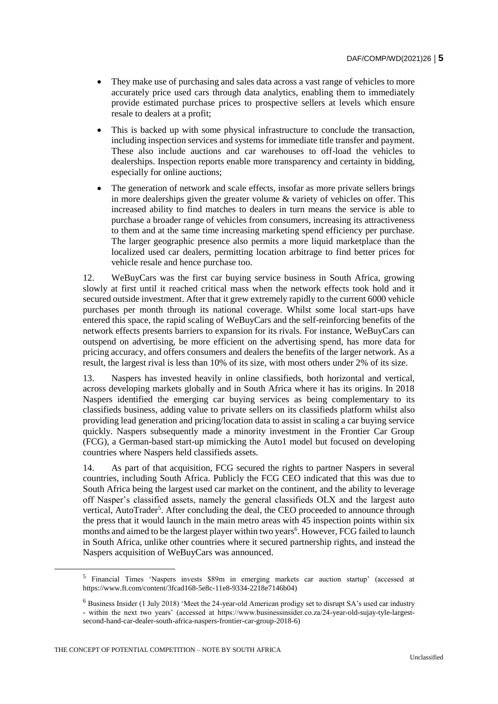- They make use of purchasing and sales data across a vast range of vehicles to more accurately price used cars through data analytics, enabling them to immediately provide estimated purchase prices to prospective sellers at levels which ensure resale to dealers at a profit;
- This is backed up with some physical infrastructure to conclude the transaction, including inspection services and systems for immediate title transfer and payment. These also include auctions and car warehouses to off-load the vehicles to dealerships. Inspection reports enable more transparency and certainty in bidding, especially for online auctions;
- The generation of network and scale effects, insofar as more private sellers brings in more dealerships given the greater volume  $\&$  variety of vehicles on offer. This increased ability to find matches to dealers in turn means the service is able to purchase a broader range of vehicles from consumers, increasing its attractiveness to them and at the same time increasing marketing spend efficiency per purchase. The larger geographic presence also permits a more liquid marketplace than the localized used car dealers, permitting location arbitrage to find better prices for vehicle resale and hence purchase too.

12. WeBuyCars was the first car buying service business in South Africa, growing slowly at first until it reached critical mass when the network effects took hold and it secured outside investment. After that it grew extremely rapidly to the current 6000 vehicle purchases per month through its national coverage. Whilst some local start-ups have entered this space, the rapid scaling of WeBuyCars and the self-reinforcing benefits of the network effects presents barriers to expansion for its rivals. For instance, WeBuyCars can outspend on advertising, be more efficient on the advertising spend, has more data for pricing accuracy, and offers consumers and dealers the benefits of the larger network. As a result, the largest rival is less than 10% of its size, with most others under 2% of its size.

13. Naspers has invested heavily in online classifieds, both horizontal and vertical, across developing markets globally and in South Africa where it has its origins. In 2018 Naspers identified the emerging car buying services as being complementary to its classifieds business, adding value to private sellers on its classifieds platform whilst also providing lead generation and pricing/location data to assist in scaling a car buying service quickly. Naspers subsequently made a minority investment in the Frontier Car Group (FCG), a German-based start-up mimicking the Auto1 model but focused on developing countries where Naspers held classifieds assets.

14. As part of that acquisition, FCG secured the rights to partner Naspers in several countries, including South Africa. Publicly the FCG CEO indicated that this was due to South Africa being the largest used car market on the continent, and the ability to leverage off Nasper's classified assets, namely the general classifieds OLX and the largest auto vertical, AutoTrader<sup>5</sup>. After concluding the deal, the CEO proceeded to announce through the press that it would launch in the main metro areas with 45 inspection points within six months and aimed to be the largest player within two years<sup>6</sup>. However, FCG failed to launch in South Africa, unlike other countries where it secured partnership rights, and instead the Naspers acquisition of WeBuyCars was announced.

THE CONCEPT OF POTENTIAL COMPETITION – NOTE BY SOUTH AFRICA

<sup>&</sup>lt;sup>5</sup> Financial Times 'Naspers invests \$89m in emerging markets car auction startup' (accessed at https://www.ft.com/content/3fcad168-5e8c-11e8-9334-2218e7146b04)

<sup>6</sup> Business Insider (1 July 2018) 'Meet the 24-year-old American prodigy set to disrupt SA's used car industry - within the next two years' (accessed at https://www.businessinsider.co.za/24-year-old-sujay-tyle-largestsecond-hand-car-dealer-south-africa-naspers-frontier-car-group-2018-6)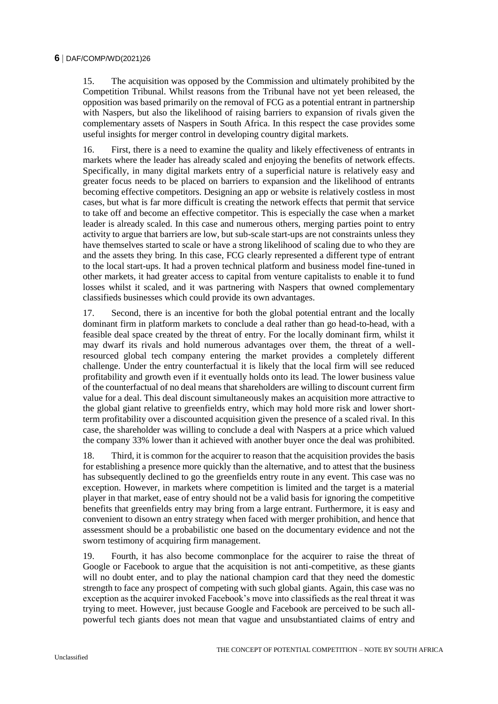15. The acquisition was opposed by the Commission and ultimately prohibited by the Competition Tribunal. Whilst reasons from the Tribunal have not yet been released, the opposition was based primarily on the removal of FCG as a potential entrant in partnership with Naspers, but also the likelihood of raising barriers to expansion of rivals given the complementary assets of Naspers in South Africa. In this respect the case provides some useful insights for merger control in developing country digital markets.

16. First, there is a need to examine the quality and likely effectiveness of entrants in markets where the leader has already scaled and enjoying the benefits of network effects. Specifically, in many digital markets entry of a superficial nature is relatively easy and greater focus needs to be placed on barriers to expansion and the likelihood of entrants becoming effective competitors. Designing an app or website is relatively costless in most cases, but what is far more difficult is creating the network effects that permit that service to take off and become an effective competitor. This is especially the case when a market leader is already scaled. In this case and numerous others, merging parties point to entry activity to argue that barriers are low, but sub-scale start-ups are not constraints unless they have themselves started to scale or have a strong likelihood of scaling due to who they are and the assets they bring. In this case, FCG clearly represented a different type of entrant to the local start-ups. It had a proven technical platform and business model fine-tuned in other markets, it had greater access to capital from venture capitalists to enable it to fund losses whilst it scaled, and it was partnering with Naspers that owned complementary classifieds businesses which could provide its own advantages.

17. Second, there is an incentive for both the global potential entrant and the locally dominant firm in platform markets to conclude a deal rather than go head-to-head, with a feasible deal space created by the threat of entry. For the locally dominant firm, whilst it may dwarf its rivals and hold numerous advantages over them, the threat of a wellresourced global tech company entering the market provides a completely different challenge. Under the entry counterfactual it is likely that the local firm will see reduced profitability and growth even if it eventually holds onto its lead. The lower business value of the counterfactual of no deal means that shareholders are willing to discount current firm value for a deal. This deal discount simultaneously makes an acquisition more attractive to the global giant relative to greenfields entry, which may hold more risk and lower shortterm profitability over a discounted acquisition given the presence of a scaled rival. In this case, the shareholder was willing to conclude a deal with Naspers at a price which valued the company 33% lower than it achieved with another buyer once the deal was prohibited.

18. Third, it is common for the acquirer to reason that the acquisition provides the basis for establishing a presence more quickly than the alternative, and to attest that the business has subsequently declined to go the greenfields entry route in any event. This case was no exception. However, in markets where competition is limited and the target is a material player in that market, ease of entry should not be a valid basis for ignoring the competitive benefits that greenfields entry may bring from a large entrant. Furthermore, it is easy and convenient to disown an entry strategy when faced with merger prohibition, and hence that assessment should be a probabilistic one based on the documentary evidence and not the sworn testimony of acquiring firm management.

19. Fourth, it has also become commonplace for the acquirer to raise the threat of Google or Facebook to argue that the acquisition is not anti-competitive, as these giants will no doubt enter, and to play the national champion card that they need the domestic strength to face any prospect of competing with such global giants. Again, this case was no exception as the acquirer invoked Facebook's move into classifieds as the real threat it was trying to meet. However, just because Google and Facebook are perceived to be such allpowerful tech giants does not mean that vague and unsubstantiated claims of entry and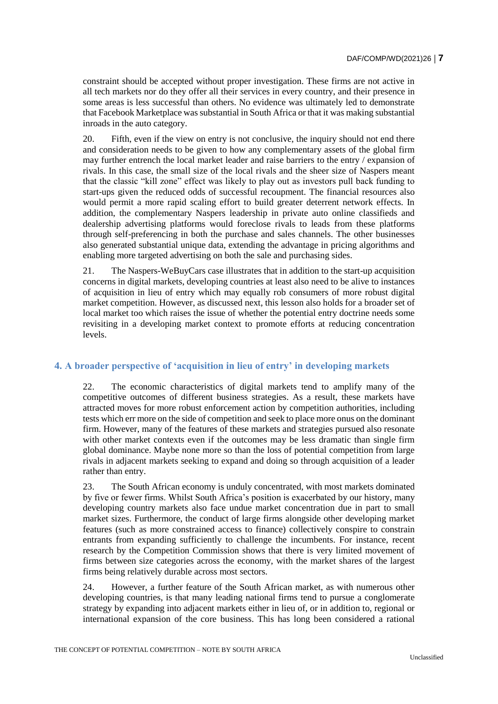constraint should be accepted without proper investigation. These firms are not active in all tech markets nor do they offer all their services in every country, and their presence in some areas is less successful than others. No evidence was ultimately led to demonstrate that Facebook Marketplace was substantial in South Africa or that it was making substantial inroads in the auto category.

20. Fifth, even if the view on entry is not conclusive, the inquiry should not end there and consideration needs to be given to how any complementary assets of the global firm may further entrench the local market leader and raise barriers to the entry / expansion of rivals. In this case, the small size of the local rivals and the sheer size of Naspers meant that the classic "kill zone" effect was likely to play out as investors pull back funding to start-ups given the reduced odds of successful recoupment. The financial resources also would permit a more rapid scaling effort to build greater deterrent network effects. In addition, the complementary Naspers leadership in private auto online classifieds and dealership advertising platforms would foreclose rivals to leads from these platforms through self-preferencing in both the purchase and sales channels. The other businesses also generated substantial unique data, extending the advantage in pricing algorithms and enabling more targeted advertising on both the sale and purchasing sides.

21. The Naspers-WeBuyCars case illustrates that in addition to the start-up acquisition concerns in digital markets, developing countries at least also need to be alive to instances of acquisition in lieu of entry which may equally rob consumers of more robust digital market competition. However, as discussed next, this lesson also holds for a broader set of local market too which raises the issue of whether the potential entry doctrine needs some revisiting in a developing market context to promote efforts at reducing concentration levels.

# **4. A broader perspective of 'acquisition in lieu of entry' in developing markets**

22. The economic characteristics of digital markets tend to amplify many of the competitive outcomes of different business strategies. As a result, these markets have attracted moves for more robust enforcement action by competition authorities, including tests which err more on the side of competition and seek to place more onus on the dominant firm. However, many of the features of these markets and strategies pursued also resonate with other market contexts even if the outcomes may be less dramatic than single firm global dominance. Maybe none more so than the loss of potential competition from large rivals in adjacent markets seeking to expand and doing so through acquisition of a leader rather than entry.

23. The South African economy is unduly concentrated, with most markets dominated by five or fewer firms. Whilst South Africa's position is exacerbated by our history, many developing country markets also face undue market concentration due in part to small market sizes. Furthermore, the conduct of large firms alongside other developing market features (such as more constrained access to finance) collectively conspire to constrain entrants from expanding sufficiently to challenge the incumbents. For instance, recent research by the Competition Commission shows that there is very limited movement of firms between size categories across the economy, with the market shares of the largest firms being relatively durable across most sectors.

24. However, a further feature of the South African market, as with numerous other developing countries, is that many leading national firms tend to pursue a conglomerate strategy by expanding into adjacent markets either in lieu of, or in addition to, regional or international expansion of the core business. This has long been considered a rational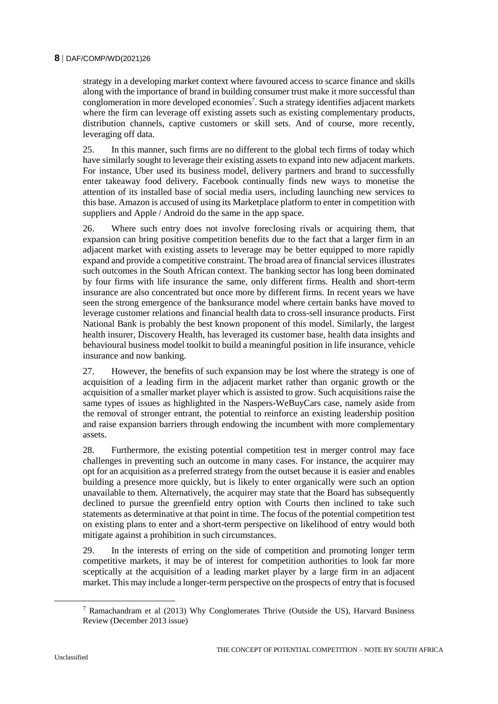# **8** DAF/COMP/WD(2021)26

strategy in a developing market context where favoured access to scarce finance and skills along with the importance of brand in building consumer trust make it more successful than conglomeration in more developed economies<sup>7</sup>. Such a strategy identifies adjacent markets where the firm can leverage off existing assets such as existing complementary products, distribution channels, captive customers or skill sets. And of course, more recently, leveraging off data.

25. In this manner, such firms are no different to the global tech firms of today which have similarly sought to leverage their existing assets to expand into new adjacent markets. For instance, Uber used its business model, delivery partners and brand to successfully enter takeaway food delivery. Facebook continually finds new ways to monetise the attention of its installed base of social media users, including launching new services to this base. Amazon is accused of using its Marketplace platform to enter in competition with suppliers and Apple / Android do the same in the app space.

26. Where such entry does not involve foreclosing rivals or acquiring them, that expansion can bring positive competition benefits due to the fact that a larger firm in an adjacent market with existing assets to leverage may be better equipped to more rapidly expand and provide a competitive constraint. The broad area of financial services illustrates such outcomes in the South African context. The banking sector has long been dominated by four firms with life insurance the same, only different firms. Health and short-term insurance are also concentrated but once more by different firms. In recent years we have seen the strong emergence of the banksurance model where certain banks have moved to leverage customer relations and financial health data to cross-sell insurance products. First National Bank is probably the best known proponent of this model. Similarly, the largest health insurer, Discovery Health, has leveraged its customer base, health data insights and behavioural business model toolkit to build a meaningful position in life insurance, vehicle insurance and now banking.

27. However, the benefits of such expansion may be lost where the strategy is one of acquisition of a leading firm in the adjacent market rather than organic growth or the acquisition of a smaller market player which is assisted to grow. Such acquisitions raise the same types of issues as highlighted in the Naspers-WeBuyCars case, namely aside from the removal of stronger entrant, the potential to reinforce an existing leadership position and raise expansion barriers through endowing the incumbent with more complementary assets.

28. Furthermore, the existing potential competition test in merger control may face challenges in preventing such an outcome in many cases. For instance, the acquirer may opt for an acquisition as a preferred strategy from the outset because it is easier and enables building a presence more quickly, but is likely to enter organically were such an option unavailable to them. Alternatively, the acquirer may state that the Board has subsequently declined to pursue the greenfield entry option with Courts then inclined to take such statements as determinative at that point in time. The focus of the potential competition test on existing plans to enter and a short-term perspective on likelihood of entry would both mitigate against a prohibition in such circumstances.

29. In the interests of erring on the side of competition and promoting longer term competitive markets, it may be of interest for competition authorities to look far more sceptically at the acquisition of a leading market player by a large firm in an adjacent market. This may include a longer-term perspective on the prospects of entry that is focused

<sup>&</sup>lt;sup>7</sup> Ramachandram et al (2013) Why Conglomerates Thrive (Outside the US), Harvard Business Review (December 2013 issue)